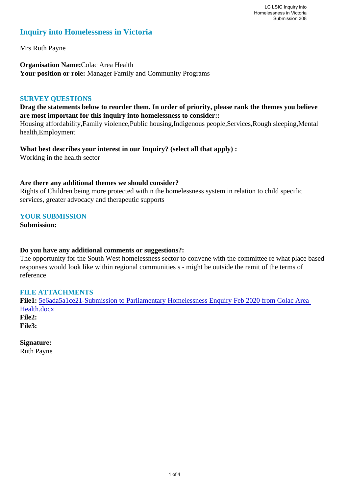# **Inquiry into Homelessness in Victoria**

Mrs Ruth Payne

**Organisation Name:**Colac Area Health **Your position or role:** Manager Family and Community Programs

### **SURVEY QUESTIONS**

**Drag the statements below to reorder them. In order of priority, please rank the themes you believe are most important for this inquiry into homelessness to consider::** 

Housing affordability,Family violence,Public housing,Indigenous people,Services,Rough sleeping,Mental health,Employment

**What best describes your interest in our Inquiry? (select all that apply) :**  Working in the health sector

### **Are there any additional themes we should consider?**

Rights of Children being more protected within the homelessness system in relation to child specific services, greater advocacy and therapeutic supports

# **YOUR SUBMISSION**

**Submission:** 

### **Do you have any additional comments or suggestions?:**

The opportunity for the South West homelessness sector to convene with the committee re what place based responses would look like within regional communities s - might be outside the remit of the terms of reference

# **FILE ATTACHMENTS**

**File1:** 5e6ada5a1ce21-Submission to Parliamentary Homelessness Enquiry Feb 2020 from Colac Area Health.docx **File2: File3:** 

**Signature:** Ruth Payne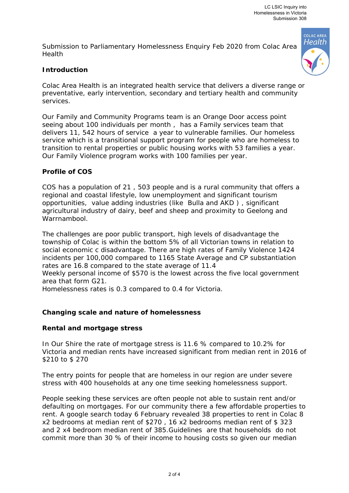Submission to Parliamentary Homelessness Enquiry Feb 2020 from Colac Area Health



# **Introduction**

Colac Area Health is an integrated health service that delivers a diverse range or preventative, early intervention, secondary and tertiary health and community services.

Our Family and Community Programs team is an Orange Door access point seeing about 100 individuals per month , has a Family services team that delivers 11, 542 hours of service a year to vulnerable families. Our homeless service which is a transitional support program for people who are homeless to transition to rental properties or public housing works with 53 families a year. Our Family Violence program works with 100 families per year.

# **Profile of COS**

COS has a population of 21 , 503 people and is a rural community that offers a regional and coastal lifestyle, low unemployment and significant tourism opportunities, value adding industries (like Bulla and AKD ) , significant agricultural industry of dairy, beef and sheep and proximity to Geelong and Warrnambool.

The challenges are poor public transport, high levels of disadvantage the township of Colac is within the bottom 5% of all Victorian towns in relation to social economic c disadvantage. There are high rates of Family Violence 1424 incidents per 100,000 compared to 1165 State Average and CP substantiation rates are 16.8 compared to the state average of 11.4

Weekly personal income of \$570 is the lowest across the five local government area that form G21.

Homelessness rates is 0.3 compared to 0.4 for Victoria.

# **Changing scale and nature of homelessness**

# **Rental and mortgage stress**

In Our Shire the rate of mortgage stress is 11.6 % compared to 10.2% for Victoria and median rents have increased significant from median rent in 2016 of \$210 to \$ 270

The entry points for people that are homeless in our region are under severe stress with 400 households at any one time seeking homelessness support.

People seeking these services are often people not able to sustain rent and/or defaulting on mortgages. For our community there a few affordable properties to rent. A google search today 6 February revealed 38 properties to rent in Colac 8 x2 bedrooms at median rent of \$270 , 16 x2 bedrooms median rent of \$ 323 and 2 x4 bedroom median rent of 385.Guidelines are that households do not commit more than 30 % of their income to housing costs so given our median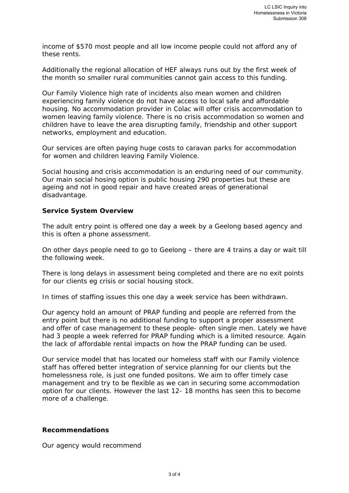income of \$570 most people and all low income people could not afford any of these rents.

Additionally the regional allocation of HEF always runs out by the first week of the month so smaller rural communities cannot gain access to this funding.

Our Family Violence high rate of incidents also mean women and children experiencing family violence do not have access to local safe and affordable housing. No accommodation provider in Colac will offer crisis accommodation to women leaving family violence. There is no crisis accommodation so women and children have to leave the area disrupting family, friendship and other support networks, employment and education.

Our services are often paying huge costs to caravan parks for accommodation for women and children leaving Family Violence.

Social housing and crisis accommodation is an enduring need of our community. Our main social hosing option is public housing 290 properties but these are ageing and not in good repair and have created areas of generational disadvantage.

### **Service System Overview**

The adult entry point is offered one day a week by a Geelong based agency and this is often a phone assessment.

On other days people need to go to Geelong – there are 4 trains a day or wait till the following week.

There is long delays in assessment being completed and there are no exit points for our clients eg crisis or social housing stock.

In times of staffing issues this one day a week service has been withdrawn.

Our agency hold an amount of PRAP funding and people are referred from the entry point but there is no additional funding to support a proper assessment and offer of case management to these people- often single men. Lately we have had 3 people a week referred for PRAP funding which is a limited resource. Again the lack of affordable rental impacts on how the PRAP funding can be used.

Our service model that has located our homeless staff with our Family violence staff has offered better integration of service planning for our clients but the homelessness role, is just one funded positons. We aim to offer timely case management and try to be flexible as we can in securing some accommodation option for our clients. However the last 12- 18 months has seen this to become more of a challenge.

### **Recommendations**

Our agency would recommend